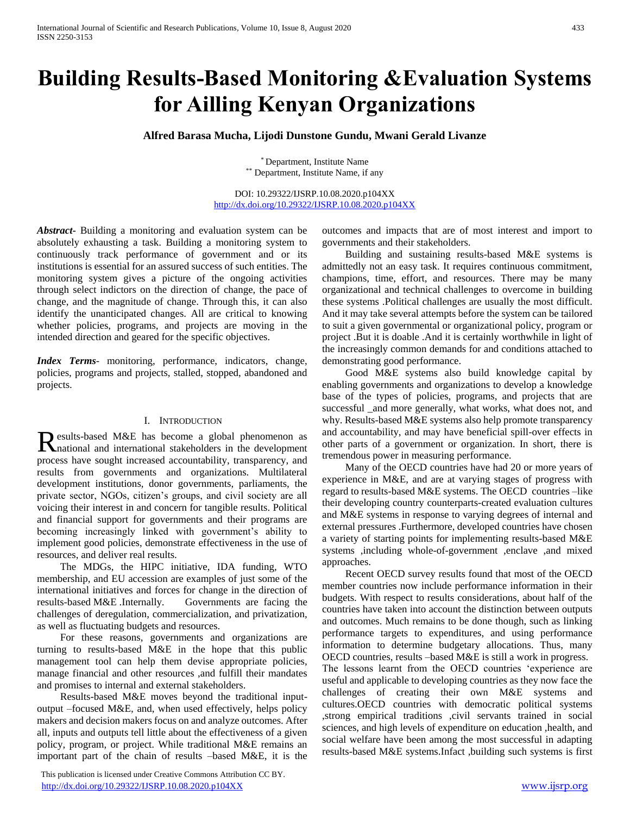# **Building Results-Based Monitoring &Evaluation Systems for Ailling Kenyan Organizations**

# **Alfred Barasa Mucha, Lijodi Dunstone Gundu, Mwani Gerald Livanze**

\* Department, Institute Name \*\* Department, Institute Name, if any

DOI: 10.29322/IJSRP.10.08.2020.p104XX <http://dx.doi.org/10.29322/IJSRP.10.08.2020.p104XX>

*Abstract***-** Building a monitoring and evaluation system can be absolutely exhausting a task. Building a monitoring system to continuously track performance of government and or its institutions is essential for an assured success of such entities. The monitoring system gives a picture of the ongoing activities through select indictors on the direction of change, the pace of change, and the magnitude of change. Through this, it can also identify the unanticipated changes. All are critical to knowing whether policies, programs, and projects are moving in the intended direction and geared for the specific objectives.

*Index Terms*- monitoring, performance, indicators, change, policies, programs and projects, stalled, stopped, abandoned and projects.

#### I. INTRODUCTION

esults-based M&E has become a global phenomenon as Results-based M&E has become a global phenomenon as anational and international stakeholders in the development process have sought increased accountability, transparency, and results from governments and organizations. Multilateral development institutions, donor governments, parliaments, the private sector, NGOs, citizen's groups, and civil society are all voicing their interest in and concern for tangible results. Political and financial support for governments and their programs are becoming increasingly linked with government's ability to implement good policies, demonstrate effectiveness in the use of resources, and deliver real results.

 The MDGs, the HIPC initiative, IDA funding, WTO membership, and EU accession are examples of just some of the international initiatives and forces for change in the direction of results-based M&E .Internally. Governments are facing the challenges of deregulation, commercialization, and privatization, as well as fluctuating budgets and resources.

 For these reasons, governments and organizations are turning to results-based M&E in the hope that this public management tool can help them devise appropriate policies, manage financial and other resources ,and fulfill their mandates and promises to internal and external stakeholders.

 Results-based M&E moves beyond the traditional inputoutput –focused M&E, and, when used effectively, helps policy makers and decision makers focus on and analyze outcomes. After all, inputs and outputs tell little about the effectiveness of a given policy, program, or project. While traditional M&E remains an important part of the chain of results –based M&E, it is the

 This publication is licensed under Creative Commons Attribution CC BY. <http://dx.doi.org/10.29322/IJSRP.10.08.2020.p104XX> [www.ijsrp.org](http://ijsrp.org/)

outcomes and impacts that are of most interest and import to governments and their stakeholders.

 Building and sustaining results-based M&E systems is admittedly not an easy task. It requires continuous commitment, champions, time, effort, and resources. There may be many organizational and technical challenges to overcome in building these systems .Political challenges are usually the most difficult. And it may take several attempts before the system can be tailored to suit a given governmental or organizational policy, program or project .But it is doable .And it is certainly worthwhile in light of the increasingly common demands for and conditions attached to demonstrating good performance.

 Good M&E systems also build knowledge capital by enabling governments and organizations to develop a knowledge base of the types of policies, programs, and projects that are successful \_and more generally, what works, what does not, and why. Results-based M&E systems also help promote transparency and accountability, and may have beneficial spill-over effects in other parts of a government or organization. In short, there is tremendous power in measuring performance.

 Many of the OECD countries have had 20 or more years of experience in M&E, and are at varying stages of progress with regard to results-based M&E systems. The OECD countries –like their developing country counterparts-created evaluation cultures and M&E systems in response to varying degrees of internal and external pressures .Furthermore, developed countries have chosen a variety of starting points for implementing results-based M&E systems ,including whole-of-government ,enclave ,and mixed approaches.

 Recent OECD survey results found that most of the OECD member countries now include performance information in their budgets. With respect to results considerations, about half of the countries have taken into account the distinction between outputs and outcomes. Much remains to be done though, such as linking performance targets to expenditures, and using performance information to determine budgetary allocations. Thus, many OECD countries, results –based M&E is still a work in progress. The lessons learnt from the OECD countries 'experience are useful and applicable to developing countries as they now face the challenges of creating their own M&E systems and cultures.OECD countries with democratic political systems ,strong empirical traditions ,civil servants trained in social sciences, and high levels of expenditure on education ,health, and social welfare have been among the most successful in adapting results-based M&E systems.Infact ,building such systems is first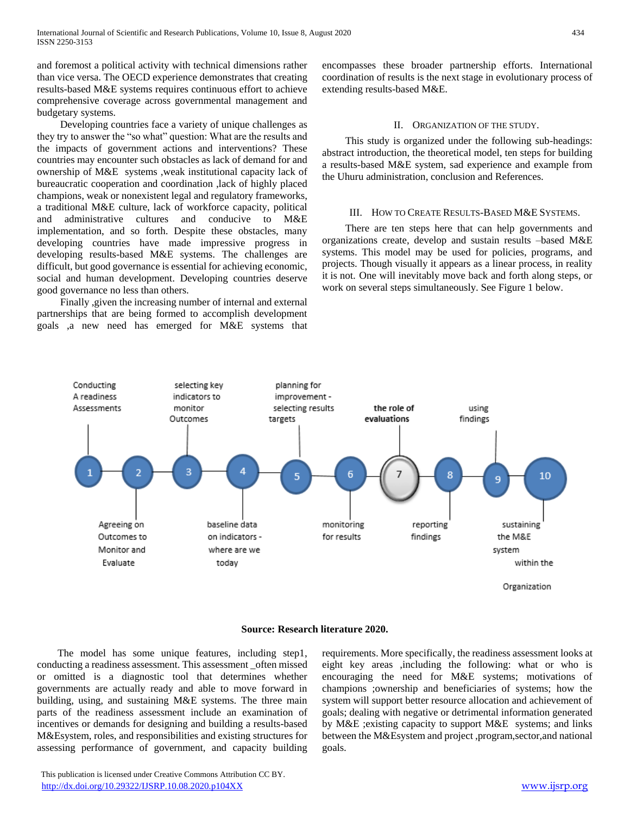and foremost a political activity with technical dimensions rather than vice versa. The OECD experience demonstrates that creating results-based M&E systems requires continuous effort to achieve comprehensive coverage across governmental management and budgetary systems.

 Developing countries face a variety of unique challenges as they try to answer the "so what" question: What are the results and the impacts of government actions and interventions? These countries may encounter such obstacles as lack of demand for and ownership of M&E systems ,weak institutional capacity lack of bureaucratic cooperation and coordination ,lack of highly placed champions, weak or nonexistent legal and regulatory frameworks, a traditional M&E culture, lack of workforce capacity, political and administrative cultures and conducive to M&E implementation, and so forth. Despite these obstacles, many developing countries have made impressive progress in developing results-based M&E systems. The challenges are difficult, but good governance is essential for achieving economic, social and human development. Developing countries deserve good governance no less than others.

 Finally ,given the increasing number of internal and external partnerships that are being formed to accomplish development goals ,a new need has emerged for M&E systems that encompasses these broader partnership efforts. International coordination of results is the next stage in evolutionary process of extending results-based M&E.

# II. ORGANIZATION OF THE STUDY.

 This study is organized under the following sub-headings: abstract introduction, the theoretical model, ten steps for building a results-based M&E system, sad experience and example from the Uhuru administration, conclusion and References.

# III. HOW TO CREATE RESULTS-BASED M&E SYSTEMS.

 There are ten steps here that can help governments and organizations create, develop and sustain results –based M&E systems. This model may be used for policies, programs, and projects. Though visually it appears as a linear process, in reality it is not. One will inevitably move back and forth along steps, or work on several steps simultaneously. See Figure 1 below.



# **Source: Research literature 2020.**

 The model has some unique features, including step1, conducting a readiness assessment. This assessment \_often missed or omitted is a diagnostic tool that determines whether governments are actually ready and able to move forward in building, using, and sustaining M&E systems. The three main parts of the readiness assessment include an examination of incentives or demands for designing and building a results-based M&Esystem, roles, and responsibilities and existing structures for assessing performance of government, and capacity building requirements. More specifically, the readiness assessment looks at eight key areas ,including the following: what or who is encouraging the need for M&E systems; motivations of champions ;ownership and beneficiaries of systems; how the system will support better resource allocation and achievement of goals; dealing with negative or detrimental information generated by M&E ;existing capacity to support M&E systems; and links between the M&Esystem and project ,program,sector,and national goals.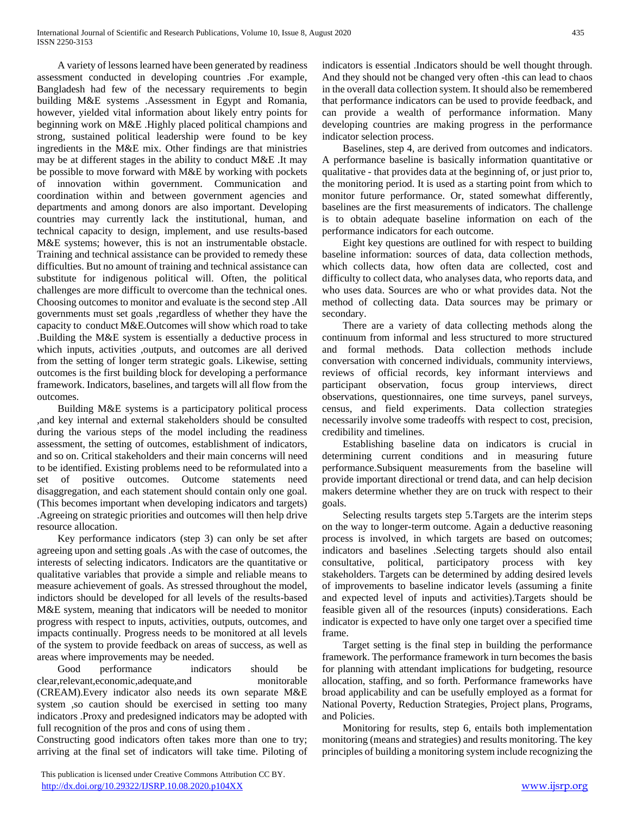A variety of lessons learned have been generated by readiness assessment conducted in developing countries .For example, Bangladesh had few of the necessary requirements to begin building M&E systems .Assessment in Egypt and Romania, however, yielded vital information about likely entry points for beginning work on M&E .Highly placed political champions and strong, sustained political leadership were found to be key ingredients in the M&E mix. Other findings are that ministries may be at different stages in the ability to conduct M&E .It may be possible to move forward with M&E by working with pockets of innovation within government. Communication and coordination within and between government agencies and departments and among donors are also important. Developing countries may currently lack the institutional, human, and technical capacity to design, implement, and use results-based M&E systems; however, this is not an instrumentable obstacle. Training and technical assistance can be provided to remedy these difficulties. But no amount of training and technical assistance can substitute for indigenous political will. Often, the political challenges are more difficult to overcome than the technical ones. Choosing outcomes to monitor and evaluate is the second step .All governments must set goals ,regardless of whether they have the capacity to conduct M&E.Outcomes will show which road to take .Building the M&E system is essentially a deductive process in which inputs, activities ,outputs, and outcomes are all derived from the setting of longer term strategic goals. Likewise, setting outcomes is the first building block for developing a performance framework. Indicators, baselines, and targets will all flow from the outcomes.

 Building M&E systems is a participatory political process ,and key internal and external stakeholders should be consulted during the various steps of the model including the readiness assessment, the setting of outcomes, establishment of indicators, and so on. Critical stakeholders and their main concerns will need to be identified. Existing problems need to be reformulated into a set of positive outcomes. Outcome statements need disaggregation, and each statement should contain only one goal. (This becomes important when developing indicators and targets) .Agreeing on strategic priorities and outcomes will then help drive resource allocation.

 Key performance indicators (step 3) can only be set after agreeing upon and setting goals .As with the case of outcomes, the interests of selecting indicators. Indicators are the quantitative or qualitative variables that provide a simple and reliable means to measure achievement of goals. As stressed throughout the model, indictors should be developed for all levels of the results-based M&E system, meaning that indicators will be needed to monitor progress with respect to inputs, activities, outputs, outcomes, and impacts continually. Progress needs to be monitored at all levels of the system to provide feedback on areas of success, as well as areas where improvements may be needed.

 Good performance indicators should be clear,relevant,economic,adequate,and monitorable (CREAM).Every indicator also needs its own separate M&E system ,so caution should be exercised in setting too many indicators .Proxy and predesigned indicators may be adopted with full recognition of the pros and cons of using them .

Constructing good indicators often takes more than one to try; arriving at the final set of indicators will take time. Piloting of

 This publication is licensed under Creative Commons Attribution CC BY. <http://dx.doi.org/10.29322/IJSRP.10.08.2020.p104XX> [www.ijsrp.org](http://ijsrp.org/)

indicators is essential .Indicators should be well thought through. And they should not be changed very often -this can lead to chaos in the overall data collection system. It should also be remembered that performance indicators can be used to provide feedback, and can provide a wealth of performance information. Many developing countries are making progress in the performance indicator selection process.

 Baselines, step 4, are derived from outcomes and indicators. A performance baseline is basically information quantitative or qualitative - that provides data at the beginning of, or just prior to, the monitoring period. It is used as a starting point from which to monitor future performance. Or, stated somewhat differently, baselines are the first measurements of indicators. The challenge is to obtain adequate baseline information on each of the performance indicators for each outcome.

 Eight key questions are outlined for with respect to building baseline information: sources of data, data collection methods, which collects data, how often data are collected, cost and difficulty to collect data, who analyses data, who reports data, and who uses data. Sources are who or what provides data. Not the method of collecting data. Data sources may be primary or secondary.

 There are a variety of data collecting methods along the continuum from informal and less structured to more structured and formal methods. Data collection methods include conversation with concerned individuals, community interviews, reviews of official records, key informant interviews and participant observation, focus group interviews, direct observations, questionnaires, one time surveys, panel surveys, census, and field experiments. Data collection strategies necessarily involve some tradeoffs with respect to cost, precision, credibility and timelines.

 Establishing baseline data on indicators is crucial in determining current conditions and in measuring future performance.Subsiquent measurements from the baseline will provide important directional or trend data, and can help decision makers determine whether they are on truck with respect to their goals.

 Selecting results targets step 5.Targets are the interim steps on the way to longer-term outcome. Again a deductive reasoning process is involved, in which targets are based on outcomes; indicators and baselines .Selecting targets should also entail consultative, political, participatory process with key stakeholders. Targets can be determined by adding desired levels of improvements to baseline indicator levels (assuming a finite and expected level of inputs and activities).Targets should be feasible given all of the resources (inputs) considerations. Each indicator is expected to have only one target over a specified time frame.

 Target setting is the final step in building the performance framework. The performance framework in turn becomes the basis for planning with attendant implications for budgeting, resource allocation, staffing, and so forth. Performance frameworks have broad applicability and can be usefully employed as a format for National Poverty, Reduction Strategies, Project plans, Programs, and Policies.

 Monitoring for results, step 6, entails both implementation monitoring (means and strategies) and results monitoring. The key principles of building a monitoring system include recognizing the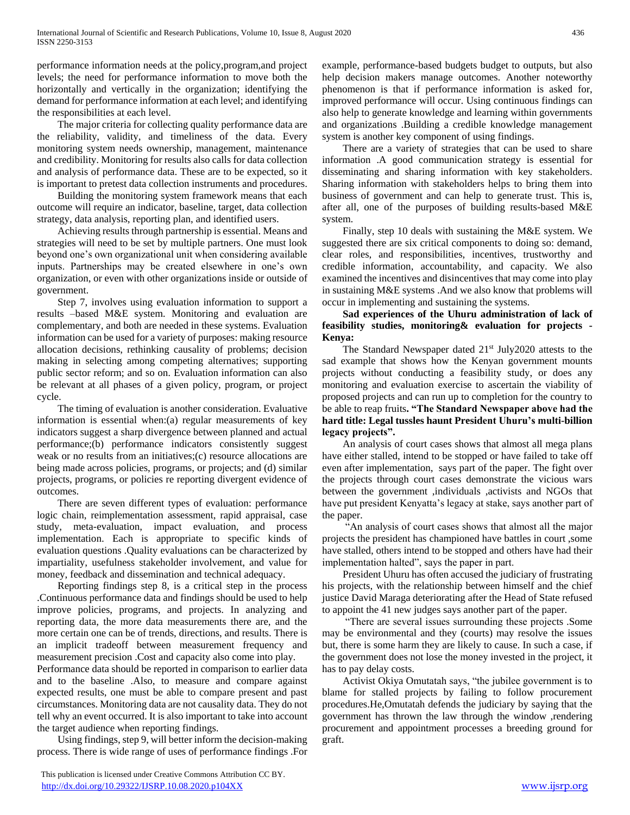performance information needs at the policy,program,and project levels; the need for performance information to move both the horizontally and vertically in the organization; identifying the demand for performance information at each level; and identifying the responsibilities at each level.

 The major criteria for collecting quality performance data are the reliability, validity, and timeliness of the data. Every monitoring system needs ownership, management, maintenance and credibility. Monitoring for results also calls for data collection and analysis of performance data. These are to be expected, so it is important to pretest data collection instruments and procedures.

 Building the monitoring system framework means that each outcome will require an indicator, baseline, target, data collection strategy, data analysis, reporting plan, and identified users.

 Achieving results through partnership is essential. Means and strategies will need to be set by multiple partners. One must look beyond one's own organizational unit when considering available inputs. Partnerships may be created elsewhere in one's own organization, or even with other organizations inside or outside of government.

 Step 7, involves using evaluation information to support a results –based M&E system. Monitoring and evaluation are complementary, and both are needed in these systems. Evaluation information can be used for a variety of purposes: making resource allocation decisions, rethinking causality of problems; decision making in selecting among competing alternatives; supporting public sector reform; and so on. Evaluation information can also be relevant at all phases of a given policy, program, or project cycle.

 The timing of evaluation is another consideration. Evaluative information is essential when:(a) regular measurements of key indicators suggest a sharp divergence between planned and actual performance;(b) performance indicators consistently suggest weak or no results from an initiatives;(c) resource allocations are being made across policies, programs, or projects; and (d) similar projects, programs, or policies re reporting divergent evidence of outcomes.

 There are seven different types of evaluation: performance logic chain, reimplementation assessment, rapid appraisal, case study, meta-evaluation, impact evaluation, and process implementation. Each is appropriate to specific kinds of evaluation questions .Quality evaluations can be characterized by impartiality, usefulness stakeholder involvement, and value for money, feedback and dissemination and technical adequacy.

 Reporting findings step 8, is a critical step in the process .Continuous performance data and findings should be used to help improve policies, programs, and projects. In analyzing and reporting data, the more data measurements there are, and the more certain one can be of trends, directions, and results. There is an implicit tradeoff between measurement frequency and measurement precision .Cost and capacity also come into play.

Performance data should be reported in comparison to earlier data and to the baseline .Also, to measure and compare against expected results, one must be able to compare present and past circumstances. Monitoring data are not causality data. They do not tell why an event occurred. It is also important to take into account the target audience when reporting findings.

 Using findings, step 9, will better inform the decision-making process. There is wide range of uses of performance findings .For example, performance-based budgets budget to outputs, but also help decision makers manage outcomes. Another noteworthy phenomenon is that if performance information is asked for, improved performance will occur. Using continuous findings can also help to generate knowledge and learning within governments and organizations .Building a credible knowledge management system is another key component of using findings.

 There are a variety of strategies that can be used to share information .A good communication strategy is essential for disseminating and sharing information with key stakeholders. Sharing information with stakeholders helps to bring them into business of government and can help to generate trust. This is, after all, one of the purposes of building results-based M&E system.

 Finally, step 10 deals with sustaining the M&E system. We suggested there are six critical components to doing so: demand, clear roles, and responsibilities, incentives, trustworthy and credible information, accountability, and capacity. We also examined the incentives and disincentives that may come into play in sustaining M&E systems .And we also know that problems will occur in implementing and sustaining the systems.

# **Sad experiences of the Uhuru administration of lack of feasibility studies, monitoring& evaluation for projects - Kenya:**

The Standard Newspaper dated 21<sup>st</sup> July2020 attests to the sad example that shows how the Kenyan government mounts projects without conducting a feasibility study, or does any monitoring and evaluation exercise to ascertain the viability of proposed projects and can run up to completion for the country to be able to reap fruits**. "The Standard Newspaper above had the hard title: Legal tussles haunt President Uhuru's multi-billion legacy projects".**

 An analysis of court cases shows that almost all mega plans have either stalled, intend to be stopped or have failed to take off even after implementation, says part of the paper. The fight over the projects through court cases demonstrate the vicious wars between the government ,individuals ,activists and NGOs that have put president Kenyatta's legacy at stake, says another part of the paper.

 "An analysis of court cases shows that almost all the major projects the president has championed have battles in court ,some have stalled, others intend to be stopped and others have had their implementation halted", says the paper in part.

 President Uhuru has often accused the judiciary of frustrating his projects, with the relationship between himself and the chief justice David Maraga deteriorating after the Head of State refused to appoint the 41 new judges says another part of the paper.

 "There are several issues surrounding these projects .Some may be environmental and they (courts) may resolve the issues but, there is some harm they are likely to cause. In such a case, if the government does not lose the money invested in the project, it has to pay delay costs.

 Activist Okiya Omutatah says, "the jubilee government is to blame for stalled projects by failing to follow procurement procedures.He,Omutatah defends the judiciary by saying that the government has thrown the law through the window ,rendering procurement and appointment processes a breeding ground for graft.